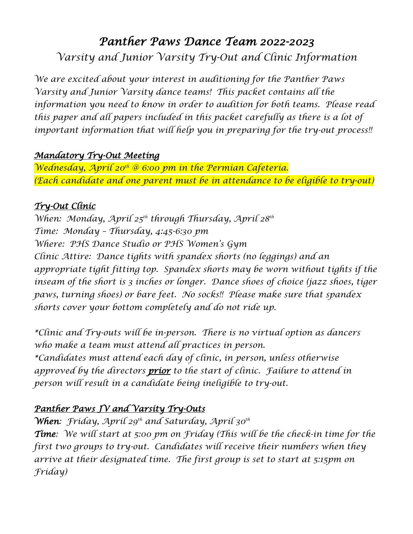# *Panther Paws Dance Team 2022-2023 Varsity and Junior Varsity Try-Out and Clinic Information*

*We are excited about your interest in auditioning for the Panther Paws Varsity and Junior Varsity dance teams! This packet contains all the information you need to know in order to audition for both teams. Please read*  this paper and all papers included in this packet carefully as there is a lot of *important information that will help you in preparing for the try-out process!!*

#### *Mandatory Try-Out Meeting*

*Wednesday, April 20th @ 6:00 pm in the Permian Cafeteria. (Each candidate and one parent must be in attendance to be eligible to try-out)*

#### *Try-Out Clinic*

*When: Monday, April 25th through Thursday, April 28th Time: Monday – Thursday, 4:45-6:30 pm Where: PHS Dance Studio or PHS Women's Gym Clinic Attire: Dance tights with spandex shorts (no leggings) and an appropriate tight fitting top. Spandex shorts may be worn without tights if the inseam of the short is 3 inches or longer. Dance shoes of choice (jazz shoes, tiger paws, turning shoes) or bare feet. No socks!! Please make sure that spandex shorts cover your bottom completely and do not ride up.* 

*\*Clinic and Try-outs will be in-person. There is no virtual option as dancers who make a team must attend all practices in person.* 

*\*Candidates must attend each day of clinic, in person, unless otherwise approved by the directors prior to the start of clinic. Failure to attend in person will result in a candidate being ineligible to try-out.* 

## *Panther Paws JV and Varsity Try-Outs*

*When: Friday, April 29th and Saturday, April 30th* 

*Time: We will start at 5:00 pm on Friday (This will be the check-in time for the first two groups to try-out. Candidates will receive their numbers when they arrive at their designated time. The first group is set to start at 5:15pm on Friday)*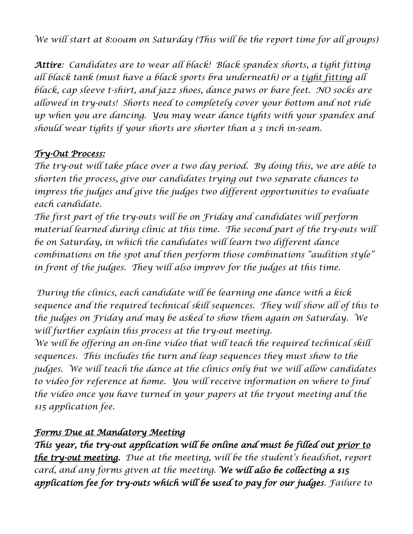*We will start at 8:00am on Saturday (This will be the report time for all groups)* 

*Attire: Candidates are to wear all black! Black spandex shorts, a tight fitting all black tank (must have a black sports bra underneath) or a tight fitting all black, cap sleeve t-shirt, and jazz shoes, dance paws or bare feet. NO socks are allowed in try-outs! Shorts need to completely cover your bottom and not ride up when you are dancing. You may wear dance tights with your spandex and should wear tights if your shorts are shorter than a 3 inch in-seam.* 

#### *Try-Out Process:*

*The try-out will take place over a two day period. By doing this, we are able to shorten the process, give our candidates trying out two separate chances to impress the judges and give the judges two different opportunities to evaluate each candidate.* 

*The first part of the try-outs will be on Friday and candidates will perform material learned during clinic at this time. The second part of the try-outs will be on Saturday, in which the candidates will learn two different dance combinations on the spot and then perform those combinations "audition style"*  in front of the judges. They will also improv for the judges at this time.

*During the clinics, each candidate will be learning one dance with a kick sequence and the required technical skill sequences. They will show all of this to the judges on Friday and may be asked to show them again on Saturday. We will further explain this process at the try-out meeting.* 

*We will be offering an on-line video that will teach the required technical skill sequences. This includes the turn and leap sequences they must show to the judges. We will teach the dance at the clinics only but we will allow candidates to video for reference at home. You will receive information on where to find the video once you have turned in your papers at the tryout meeting and the \$15 application fee.* 

#### *Forms Due at Mandatory Meeting*

*This year, the try-out application will be online and must be filled out prior to the try-out meeting. Due at the meeting, will be the student's headshot, report card, and any forms given at the meeting. We will also be collecting a \$15 application fee for try-outs which will be used to pay for our judges. Failure to*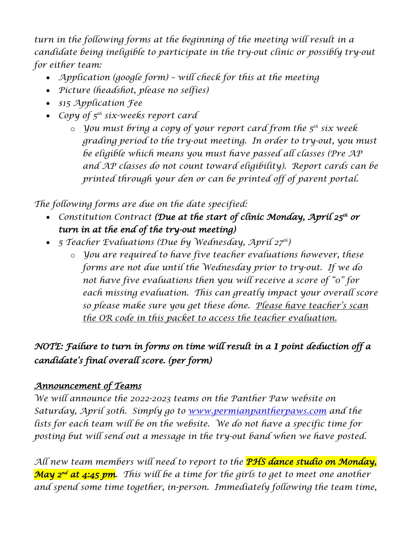turn in the following forms at the beginning of the meeting will result in a *candidate being ineligible to participate in the try-out clinic or possibly try-out for either team:*

- *Application (google form) will check for this at the meeting*
- *Picture (headshot, please no selfies)*
- *\$15 Application Fee*
- *Copy of 5th six-weeks report card* 
	- o *You must bring a copy of your report card from the 5th six week grading period to the try-out meeting. In order to try-out, you must be eligible which means you must have passed all classes (Pre AP and AP classes do not count toward eligibility). Report cards can be printed through your den or can be printed off of parent portal.*

*The following forms are due on the date specified:* 

- *Constitution Contract (Due at the start of clinic Monday, April 25<sup>th</sup> or turn in at the end of the try-out meeting)*
- *5 Teacher Evaluations (Due by Wednesday, April 27th)* 
	- o *You are required to have five teacher evaluations however, these forms are not due until the Wednesday prior to try-out. If we do not have five evaluations then you will receive a score of "0" for each missing evaluation. This can greatly impact your overall score so please make sure you get these done. Please have teacher's scan the OR code in this packet to access the teacher evaluation.*

## *NOTE: Failure to turn in forms on time will result in a 1 point deduction off a candidate's final overall score. (per form)*

## *Announcement of Teams*

*We will announce the 2022-2023 teams on the Panther Paw website on Saturday, April 30th. Simply go to [www.permianpantherpaws.com](http://www.permianpantherpaws.com/) and the lists for each team will be on the website. We do not have a specific time for posting but will send out a message in the try-out band when we have posted.* 

*All new team members will need to report to the PHS dance studio on Monday, May 2nd at 4:45 pm. This will be a time for the girls to get to meet one another and spend some time together, in-person. Immediately following the team time,*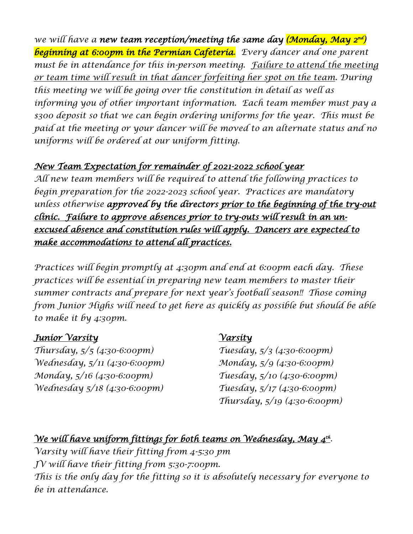we will have a new team reception/meeting the same day (Monday, May 2nd) *beginning at 6:00pm in the Permian Cafeteria. Every dancer and one parent must be in attendance for this in-person meeting. Failure to attend the meeting or team time will result in that dancer forfeiting her spot on the team. During this meeting we will be going over the constitution in detail as well as informing you of other important information. Each team member must pay a \$300 deposit so that we can begin ordering uniforms for the year. This must be paid at the meeting or your dancer will be moved to an alternate status and no uniforms will be ordered at our uniform fitting.*

## *New Team Expectation for remainder of 2021-2022 school year*

*All new team members will be required to attend the following practices to begin preparation for the 2022-2023 school year. Practices are mandatory unless otherwise approved by the directors prior to the beginning of the try-out clinic. Failure to approve absences prior to try-outs will result in an unexcused absence and constitution rules will apply. Dancers are expected to make accommodations to attend all practices.* 

*Practices will begin promptly at 4:30pm and end at 6:00pm each day. These practices will be essential in preparing new team members to master their summer contracts and prepare for next year's football season!! Those coming from Junior Highs will need to get here as quickly as possible but should be able to make it by 4:30pm.* 

#### *Junior Varsity*

*Thursday, 5/5 (4:30-6:00pm) Wednesday, 5/11 (4:30-6:00pm) Monday, 5/16 (4:30-6:00pm) Wednesday 5/18 (4:30-6:00pm)*

## *Varsity*

*Tuesday, 5/3 (4:30-6:00pm) Monday, 5/9 (4:30-6:00pm) Tuesday, 5/10 (4:30-6:00pm) Tuesday, 5/17 (4:30-6:00pm) Thursday, 5/19 (4:30-6:00pm)*

## *We will have uniform fittings for both teams on Wednesday, May 4th.*

*Varsity will have their fitting from 4-5:30 pm JV will have their fitting from 5:30-7:00pm. This is the only day for the fitting so it is absolutely necessary for everyone to be in attendance.*